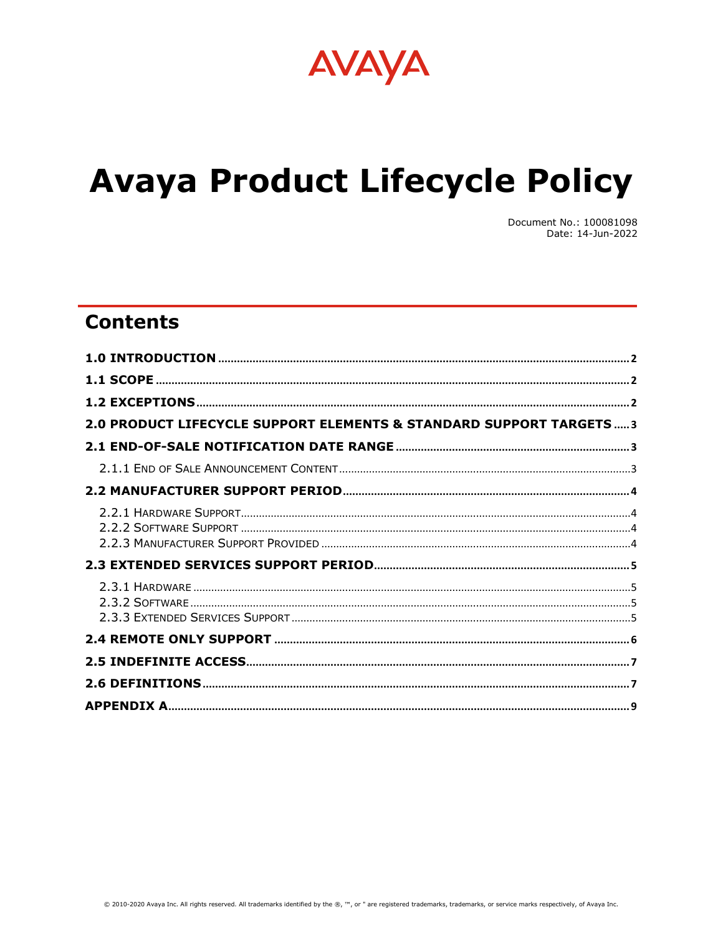

# **Avaya Product Lifecycle Policy**

Document No.: 100081098 Date: 14-Jun-2022

## **Contents**

| 2.0 PRODUCT LIFECYCLE SUPPORT ELEMENTS & STANDARD SUPPORT TARGETS3 |  |
|--------------------------------------------------------------------|--|
|                                                                    |  |
|                                                                    |  |
|                                                                    |  |
|                                                                    |  |
|                                                                    |  |
|                                                                    |  |
|                                                                    |  |
|                                                                    |  |
|                                                                    |  |
|                                                                    |  |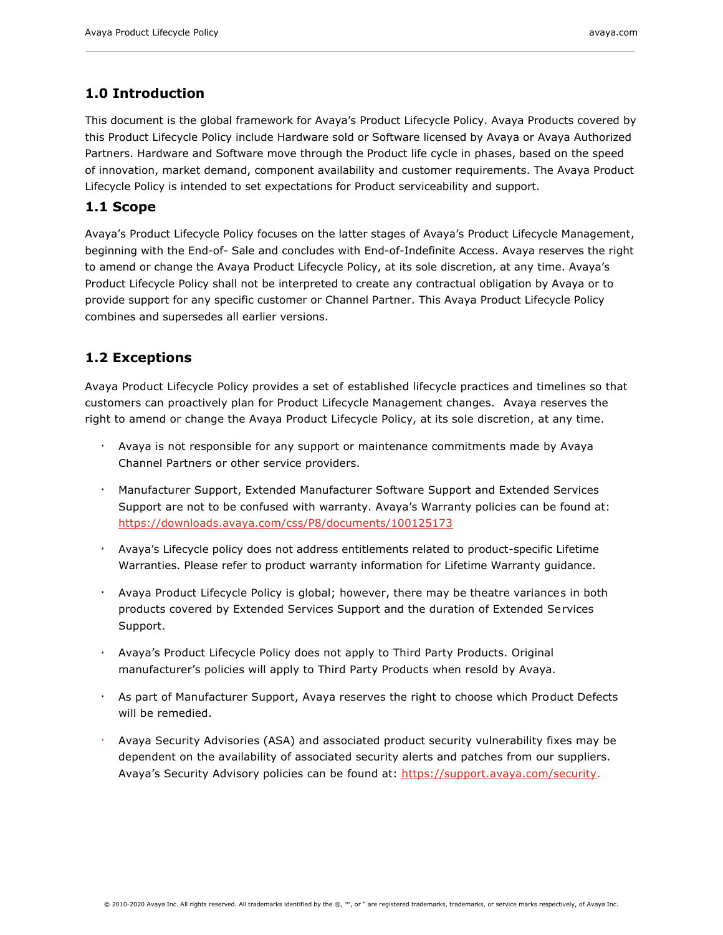## <span id="page-1-0"></span>**1.0 Introduction**

This document is the global framework for Avaya's Product Lifecycle Policy. Avaya Products covered by this Product Lifecycle Policy include Hardware sold or Software licensed by Avaya or Avaya Authorized Partners. Hardware and Software move through the Product life cycle in phases, based on the speed of innovation, market demand, component availability and customer requirements. The Avaya Product Lifecycle Policy is intended to set expectations for Product serviceability and support.

## <span id="page-1-1"></span>**1.1 Scope**

Avaya's Product Lifecycle Policy focuses on the latter stages of Avaya's Product Lifecycle Management, beginning with the End-of- Sale and concludes with End-of-Indefinite Access. Avaya reserves the right to amend or change the Avaya Product Lifecycle Policy, at its sole discretion, at any time. Avaya's Product Lifecycle Policy shall not be interpreted to create any contractual obligation by Avaya or to provide support for any specific customer or Channel Partner. This Avaya Product Lifecycle Policy combines and supersedes all earlier versions.

## <span id="page-1-2"></span>**1.2 Exceptions**

Avaya Product Lifecycle Policy provides a set of established lifecycle practices and timelines so that customers can proactively plan for Product Lifecycle Management changes. Avaya reserves the right to amend or change the Avaya Product Lifecycle Policy, at its sole discretion, at any time.

- Avaya is not responsible for any support or maintenance commitments made by Avaya Channel Partners or other service providers.
- Manufacturer Support, Extended Manufacturer Software Support and Extended Services Support are not to be confused with warranty. Avaya's Warranty policies can be found at: <https://downloads.avaya.com/css/P8/documents/100125173>
- Avaya's Lifecycle policy does not address entitlements related to product-specific Lifetime Warranties. Please refer to product warranty information for Lifetime Warranty guidance.
- Avaya Product Lifecycle Policy is global; however, there may be theatre variances in both products covered by Extended Services Support and the duration of Extended Services Support.
- Avaya's Product Lifecycle Policy does not apply to Third Party Products. Original manufacturer's policies will apply to Third Party Products when resold by Avaya.
- As part of Manufacturer Support, Avaya reserves the right to choose which Product Defects will be remedied.
- Avaya Security Advisories (ASA) and associated product security vulnerability fixes may be dependent on the availability of associated security alerts and patches from our suppliers. Avaya's Security Advisory policies can be found at: [https://support.avaya.com/security.](https://support.avaya.com/security)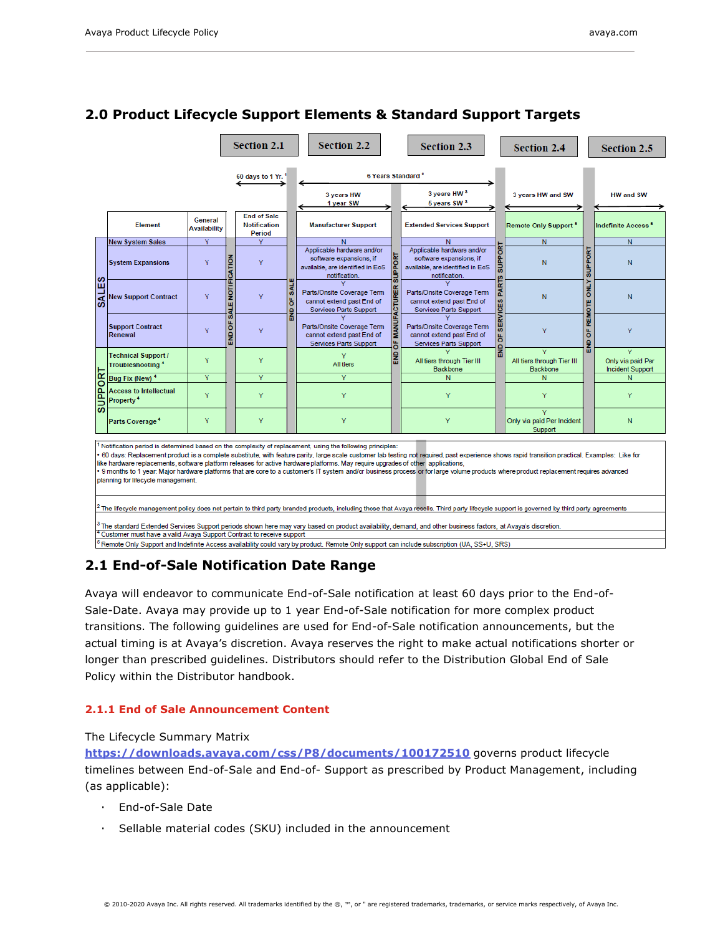|                                                                                                                                                                                                                                                                                                                                                                                                                                                                                                                                                                                                                                                                                                                                                                                                                                                                                                                                                                                                                                                                                                                                                 |                                                        |                                |                          | <b>Section 2.1</b>                                  |                                                                                                                                           | <b>Section 2.2</b>                                                                                         |                                                                                   | <b>Section 2.3</b>                                                                                         |                              | <b>Section 2.4</b>                           |                | <b>Section 2.5</b>             |
|-------------------------------------------------------------------------------------------------------------------------------------------------------------------------------------------------------------------------------------------------------------------------------------------------------------------------------------------------------------------------------------------------------------------------------------------------------------------------------------------------------------------------------------------------------------------------------------------------------------------------------------------------------------------------------------------------------------------------------------------------------------------------------------------------------------------------------------------------------------------------------------------------------------------------------------------------------------------------------------------------------------------------------------------------------------------------------------------------------------------------------------------------|--------------------------------------------------------|--------------------------------|--------------------------|-----------------------------------------------------|-------------------------------------------------------------------------------------------------------------------------------------------|------------------------------------------------------------------------------------------------------------|-----------------------------------------------------------------------------------|------------------------------------------------------------------------------------------------------------|------------------------------|----------------------------------------------|----------------|--------------------------------|
| 60 days to 1 Yr.                                                                                                                                                                                                                                                                                                                                                                                                                                                                                                                                                                                                                                                                                                                                                                                                                                                                                                                                                                                                                                                                                                                                |                                                        |                                |                          | 6 Years Standard <sup>2</sup>                       |                                                                                                                                           |                                                                                                            |                                                                                   |                                                                                                            |                              |                                              |                |                                |
|                                                                                                                                                                                                                                                                                                                                                                                                                                                                                                                                                                                                                                                                                                                                                                                                                                                                                                                                                                                                                                                                                                                                                 |                                                        |                                |                          |                                                     |                                                                                                                                           | 3 years HW<br>1 year SW                                                                                    |                                                                                   | 3 years HW <sup>3</sup><br>5 years SW <sup>3</sup>                                                         |                              | 3 years HW and SW                            |                | <b>HW and SW</b>               |
|                                                                                                                                                                                                                                                                                                                                                                                                                                                                                                                                                                                                                                                                                                                                                                                                                                                                                                                                                                                                                                                                                                                                                 | <b>Element</b>                                         | General<br><b>Availability</b> |                          | <b>End of Sale</b><br><b>Notification</b><br>Period |                                                                                                                                           | <b>Manufacturer Support</b>                                                                                |                                                                                   | <b>Extended Services Support</b>                                                                           |                              | Remote Only Support <sup>5</sup>             |                | Indefinite Access <sup>5</sup> |
|                                                                                                                                                                                                                                                                                                                                                                                                                                                                                                                                                                                                                                                                                                                                                                                                                                                                                                                                                                                                                                                                                                                                                 | <b>New System Sales</b>                                | Y                              |                          | Y                                                   |                                                                                                                                           | N                                                                                                          | 문<br>$rac{9}{3}$                                                                  | N                                                                                                          |                              | N                                            | <b>SUPPORT</b> | N                              |
|                                                                                                                                                                                                                                                                                                                                                                                                                                                                                                                                                                                                                                                                                                                                                                                                                                                                                                                                                                                                                                                                                                                                                 | <b>System Expansions</b>                               | Y                              |                          | Y                                                   |                                                                                                                                           | Applicable hardware and/or<br>software expansions, if<br>available, are identified in EoS<br>notification. |                                                                                   | Applicable hardware and/or<br>software expansions, if<br>available, are identified in EoS<br>notification. | <b>GRT</b><br><b>SUPP</b>    | N                                            |                | N                              |
| <b>SALES</b>                                                                                                                                                                                                                                                                                                                                                                                                                                                                                                                                                                                                                                                                                                                                                                                                                                                                                                                                                                                                                                                                                                                                    | <b>New Support Contract</b>                            | Y                              | <b>SALE NOTIFICATION</b> | <b>V</b>                                            | <b>LIA</b> <sub>5</sub><br>$\underline{\alpha}$<br>Parts/Onsite Coverage Term<br>ö<br>cannot extend past End of<br>Services Parts Support | Parts/Onsite Coverage Term<br>cannot extend past End of<br>Services Parts Support                          | <b>PARTS</b>                                                                      | N                                                                                                          | <b>ONLY</b><br><b>REMOTE</b> | N                                            |                |                                |
|                                                                                                                                                                                                                                                                                                                                                                                                                                                                                                                                                                                                                                                                                                                                                                                                                                                                                                                                                                                                                                                                                                                                                 | <b>Support Contract</b><br>Renewal                     | v                              | END OF<br>Y<br>Y         | <b>BND</b>                                          | Parts/Onsite Coverage Term<br>cannot extend past End of<br>Services Parts Support                                                         | <b>MANUFACTURE</b><br>ő                                                                                    | Parts/Onsite Coverage Term<br>cannot extend past End of<br>Services Parts Support | <b>SERVICES</b><br>ზ                                                                                       | Y                            | ő<br>옲                                       | Ÿ              |                                |
|                                                                                                                                                                                                                                                                                                                                                                                                                                                                                                                                                                                                                                                                                                                                                                                                                                                                                                                                                                                                                                                                                                                                                 | Technical Support /<br>Troubleshooting <sup>4</sup>    | Y                              |                          |                                                     | 음<br>Y<br>All tiers                                                                                                                       | All tiers through Tier III<br><b>Backbone</b>                                                              | $\frac{1}{2}$                                                                     | v<br>All tiers through Tier III<br><b>Backbone</b>                                                         |                              | Only via paid Per<br><b>Incident Support</b> |                |                                |
| $\alpha$                                                                                                                                                                                                                                                                                                                                                                                                                                                                                                                                                                                                                                                                                                                                                                                                                                                                                                                                                                                                                                                                                                                                        | Bug Fix (New) <sup>4</sup>                             | Ÿ                              |                          | Y                                                   |                                                                                                                                           | Ÿ                                                                                                          |                                                                                   | N                                                                                                          |                              | N                                            |                | N                              |
| <b>IOddNS</b>                                                                                                                                                                                                                                                                                                                                                                                                                                                                                                                                                                                                                                                                                                                                                                                                                                                                                                                                                                                                                                                                                                                                   | <b>Access to Intellectual</b><br>Property <sup>4</sup> | Y                              | Y                        |                                                     | Y                                                                                                                                         |                                                                                                            | Y                                                                                 |                                                                                                            | Y                            |                                              | Y              |                                |
|                                                                                                                                                                                                                                                                                                                                                                                                                                                                                                                                                                                                                                                                                                                                                                                                                                                                                                                                                                                                                                                                                                                                                 | Parts Coverage <sup>4</sup>                            | Y                              |                          | Y                                                   |                                                                                                                                           | Ÿ                                                                                                          |                                                                                   | Y                                                                                                          |                              | Only via paid Per Incident<br>Support        |                | N                              |
| Notification period is determined based on the complexity of replacement, using the following principles:<br>60 days: Replacement product is a complete substitute, with feature parity, large scale customer lab testing not required, past experience shows rapid transition practical. Examples: Like for<br>like hardware replacements, software platform releases for active hardware platforms. May require upgrades of other applications,<br>9 months to 1 year: Major hardware platforms that are core to a customer's IT system and/or business process or for large volume products where product replacement requires advanced<br>planning for lifecycle management.<br><sup>2</sup> The lifecycle management policy does not pertain to third party branded products, including those that Avaya resells. Third party lifecycle support is governed by third party agreements<br><sup>3</sup> The standard Extended Services Support periods shown here may vary based on product availability, demand, and other business factors, at Avaya's discretion.<br>Customer must have a valid Avaya Support Contract to receive support |                                                        |                                |                          |                                                     |                                                                                                                                           |                                                                                                            |                                                                                   |                                                                                                            |                              |                                              |                |                                |

## <span id="page-2-0"></span>**2.0 Product Lifecycle Support Elements & Standard Support Targets**

<sup>5</sup> Remote Only Support and Indefinite Access availability could vary by product. Remote Only support can include subscription (UA, SS+U, SRS)

## <span id="page-2-1"></span>**2.1 End-of-Sale Notification Date Range**

Avaya will endeavor to communicate End-of-Sale notification at least 60 days prior to the End-of-Sale-Date. Avaya may provide up to 1 year End-of-Sale notification for more complex product transitions. The following guidelines are used for End-of-Sale notification announcements, but the actual timing is at Avaya's discretion. Avaya reserves the right to make actual notifications shorter or longer than prescribed guidelines. Distributors should refer to the Distribution Global End of Sale Policy within the Distributor handbook.

#### <span id="page-2-2"></span>**2.1.1 End of Sale Announcement Content**

The Lifecycle Summary Matrix

**<https://downloads.avaya.com/css/P8/documents/100172510>** governs product lifecycle timelines between End-of-Sale and End-of- Support as prescribed by Product Management, including (as applicable):

- End-of-Sale Date
- Sellable material codes (SKU) included in the announcement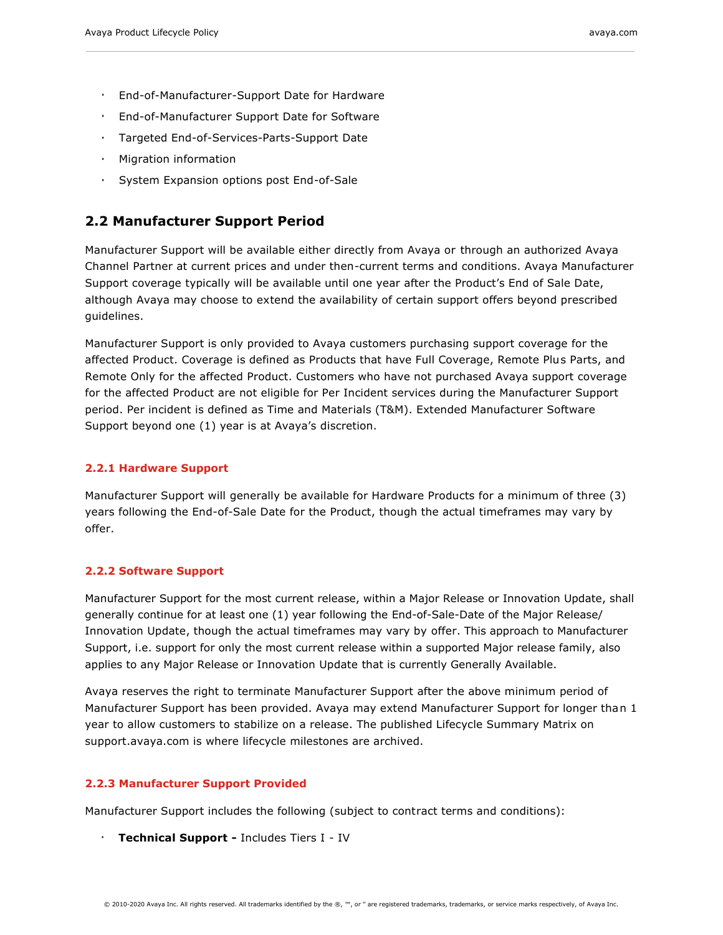- End-of-Manufacturer-Support Date for Hardware
- End-of-Manufacturer Support Date for Software
- Targeted End-of-Services-Parts-Support Date
- Migration information
- System Expansion options post End-of-Sale

## <span id="page-3-0"></span>**2.2 Manufacturer Support Period**

Manufacturer Support will be available either directly from Avaya or through an authorized Avaya Channel Partner at current prices and under then-current terms and conditions. Avaya Manufacturer Support coverage typically will be available until one year after the Product's End of Sale Date, although Avaya may choose to extend the availability of certain support offers beyond prescribed guidelines.

Manufacturer Support is only provided to Avaya customers purchasing support coverage for the affected Product. Coverage is defined as Products that have Full Coverage, Remote Plus Parts, and Remote Only for the affected Product. Customers who have not purchased Avaya support coverage for the affected Product are not eligible for Per Incident services during the Manufacturer Support period. Per incident is defined as Time and Materials (T&M). Extended Manufacturer Software Support beyond one (1) year is at Avaya's discretion.

#### <span id="page-3-1"></span>**2.2.1 Hardware Support**

Manufacturer Support will generally be available for Hardware Products for a minimum of three (3) years following the End-of-Sale Date for the Product, though the actual timeframes may vary by offer.

#### <span id="page-3-2"></span>**2.2.2 Software Support**

Manufacturer Support for the most current release, within a Major Release or Innovation Update, shall generally continue for at least one (1) year following the End-of-Sale-Date of the Major Release/ Innovation Update, though the actual timeframes may vary by offer. This approach to Manufacturer Support, i.e. support for only the most current release within a supported Major release family, also applies to any Major Release or Innovation Update that is currently Generally Available.

Avaya reserves the right to terminate Manufacturer Support after the above minimum period of Manufacturer Support has been provided. Avaya may extend Manufacturer Support for longer than 1 year to allow customers to stabilize on a release. The published Lifecycle Summary Matrix on support.avaya.com is where lifecycle milestones are archived.

#### <span id="page-3-3"></span>**2.2.3 Manufacturer Support Provided**

Manufacturer Support includes the following (subject to contract terms and conditions):

▪ **Technical Support -** Includes Tiers I - IV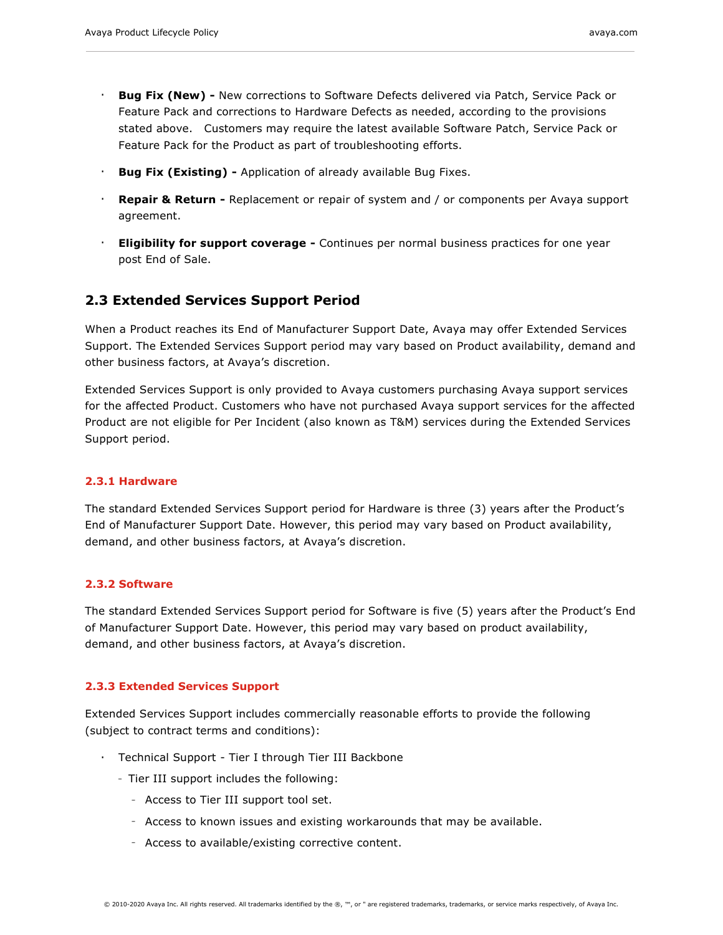- **Bug Fix (New) -** New corrections to Software Defects delivered via Patch, Service Pack or Feature Pack and corrections to Hardware Defects as needed, according to the provisions stated above. Customers may require the latest available Software Patch, Service Pack or Feature Pack for the Product as part of troubleshooting efforts.
- **Bug Fix (Existing) -** Application of already available Bug Fixes.
- **Repair & Return -** Replacement or repair of system and / or components per Avaya support agreement.
- **Eligibility for support coverage -** Continues per normal business practices for one year post End of Sale.

## <span id="page-4-0"></span>**2.3 Extended Services Support Period**

When a Product reaches its End of Manufacturer Support Date, Avaya may offer Extended Services Support. The Extended Services Support period may vary based on Product availability, demand and other business factors, at Avaya's discretion.

Extended Services Support is only provided to Avaya customers purchasing Avaya support services for the affected Product. Customers who have not purchased Avaya support services for the affected Product are not eligible for Per Incident (also known as T&M) services during the Extended Services Support period.

#### <span id="page-4-1"></span>**2.3.1 Hardware**

The standard Extended Services Support period for Hardware is three (3) years after the Product's End of Manufacturer Support Date. However, this period may vary based on Product availability, demand, and other business factors, at Avaya's discretion.

#### <span id="page-4-2"></span>**2.3.2 Software**

The standard Extended Services Support period for Software is five (5) years after the Product's End of Manufacturer Support Date. However, this period may vary based on product availability, demand, and other business factors, at Avaya's discretion.

#### <span id="page-4-3"></span>**2.3.3 Extended Services Support**

Extended Services Support includes commercially reasonable efforts to provide the following (subject to contract terms and conditions):

- Technical Support Tier I through Tier III Backbone
	- Tier III support includes the following:
		- Access to Tier III support tool set.
		- Access to known issues and existing workarounds that may be available.
		- Access to available/existing corrective content.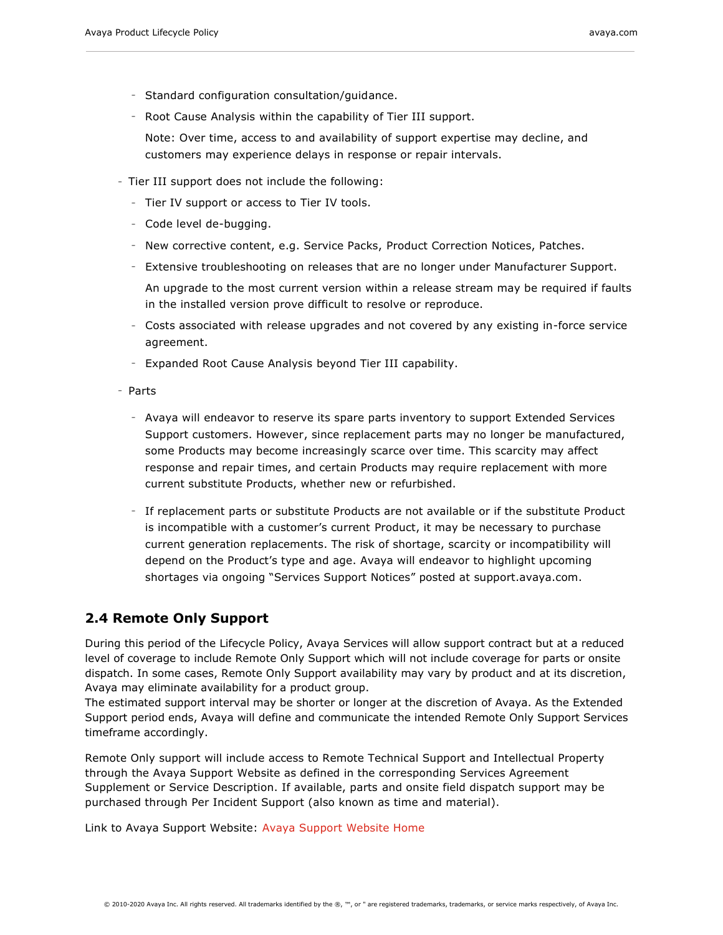- Standard configuration consultation/guidance.
- Root Cause Analysis within the capability of Tier III support.
	- Note: Over time, access to and availability of support expertise may decline, and customers may experience delays in response or repair intervals.
- Tier III support does not include the following:
	- Tier IV support or access to Tier IV tools.
	- Code level de-bugging.
	- New corrective content, e.g. Service Packs, Product Correction Notices, Patches.
	- Extensive troubleshooting on releases that are no longer under Manufacturer Support.
	- An upgrade to the most current version within a release stream may be required if faults in the installed version prove difficult to resolve or reproduce.
	- Costs associated with release upgrades and not covered by any existing in-force service agreement.
	- Expanded Root Cause Analysis beyond Tier III capability.
- Parts
	- Avaya will endeavor to reserve its spare parts inventory to support Extended Services Support customers. However, since replacement parts may no longer be manufactured, some Products may become increasingly scarce over time. This scarcity may affect response and repair times, and certain Products may require replacement with more current substitute Products, whether new or refurbished.
	- If replacement parts or substitute Products are not available or if the substitute Product is incompatible with a customer's current Product, it may be necessary to purchase current generation replacements. The risk of shortage, scarcity or incompatibility will depend on the Product's type and age. Avaya will endeavor to highlight upcoming shortages via ongoing "Services Support Notices" posted at support.avaya.com.

## <span id="page-5-0"></span>**2.4 Remote Only Support**

During this period of the Lifecycle Policy, Avaya Services will allow support contract but at a reduced level of coverage to include Remote Only Support which will not include coverage for parts or onsite dispatch. In some cases, Remote Only Support availability may vary by product and at its discretion, Avaya may eliminate availability for a product group.

The estimated support interval may be shorter or longer at the discretion of Avaya. As the Extended Support period ends, Avaya will define and communicate the intended Remote Only Support Services timeframe accordingly.

Remote Only support will include access to Remote Technical Support and Intellectual Property through the Avaya Support Website as defined in the corresponding Services Agreement Supplement or Service Description. If available, parts and onsite field dispatch support may be purchased through Per Incident Support (also known as time and material).

Link to Avaya Support Website: [Avaya Support Website Home](https://onecare.avaya.com/customercare/en/public)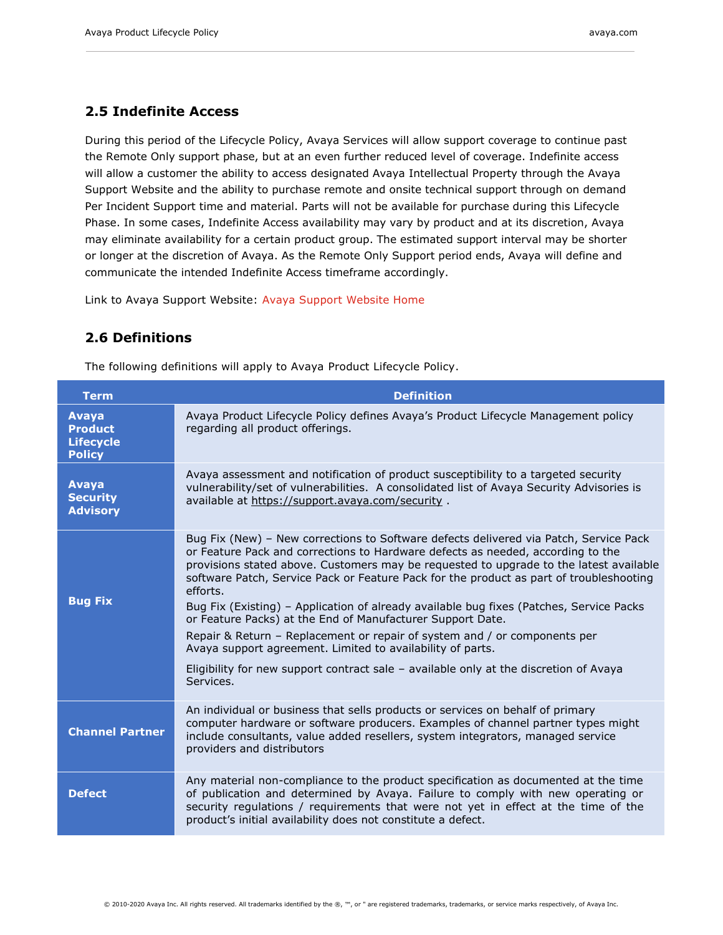## <span id="page-6-0"></span>**2.5 Indefinite Access**

During this period of the Lifecycle Policy, Avaya Services will allow support coverage to continue past the Remote Only support phase, but at an even further reduced level of coverage. Indefinite access will allow a customer the ability to access designated Avaya Intellectual Property through the Avaya Support Website and the ability to purchase remote and onsite technical support through on demand Per Incident Support time and material. Parts will not be available for purchase during this Lifecycle Phase. In some cases, Indefinite Access availability may vary by product and at its discretion, Avaya may eliminate availability for a certain product group. The estimated support interval may be shorter or longer at the discretion of Avaya. As the Remote Only Support period ends, Avaya will define and communicate the intended Indefinite Access timeframe accordingly.

Link to Avaya Support Website: [Avaya Support Website Home](https://onecare.avaya.com/customercare/en/public)

## <span id="page-6-1"></span>**2.6 Definitions**

The following definitions will apply to Avaya Product Lifecycle Policy.

| <b>Term</b>                                                  | <b>Definition</b>                                                                                                                                                                                                                                                                                                                                                                                                                                                                                                                                                                                                                                                                                                                                                                   |
|--------------------------------------------------------------|-------------------------------------------------------------------------------------------------------------------------------------------------------------------------------------------------------------------------------------------------------------------------------------------------------------------------------------------------------------------------------------------------------------------------------------------------------------------------------------------------------------------------------------------------------------------------------------------------------------------------------------------------------------------------------------------------------------------------------------------------------------------------------------|
| Avaya<br><b>Product</b><br><b>Lifecycle</b><br><b>Policy</b> | Avaya Product Lifecycle Policy defines Avaya's Product Lifecycle Management policy<br>regarding all product offerings.                                                                                                                                                                                                                                                                                                                                                                                                                                                                                                                                                                                                                                                              |
| Avaya<br><b>Security</b><br><b>Advisory</b>                  | Avaya assessment and notification of product susceptibility to a targeted security<br>vulnerability/set of vulnerabilities. A consolidated list of Avaya Security Advisories is<br>available at https://support.avaya.com/security.                                                                                                                                                                                                                                                                                                                                                                                                                                                                                                                                                 |
| <b>Bug Fix</b>                                               | Bug Fix (New) - New corrections to Software defects delivered via Patch, Service Pack<br>or Feature Pack and corrections to Hardware defects as needed, according to the<br>provisions stated above. Customers may be requested to upgrade to the latest available<br>software Patch, Service Pack or Feature Pack for the product as part of troubleshooting<br>efforts.<br>Bug Fix (Existing) - Application of already available bug fixes (Patches, Service Packs<br>or Feature Packs) at the End of Manufacturer Support Date.<br>Repair & Return – Replacement or repair of system and / or components per<br>Avaya support agreement. Limited to availability of parts.<br>Eligibility for new support contract sale – available only at the discretion of Avaya<br>Services. |
| <b>Channel Partner</b>                                       | An individual or business that sells products or services on behalf of primary<br>computer hardware or software producers. Examples of channel partner types might<br>include consultants, value added resellers, system integrators, managed service<br>providers and distributors                                                                                                                                                                                                                                                                                                                                                                                                                                                                                                 |
| <b>Defect</b>                                                | Any material non-compliance to the product specification as documented at the time<br>of publication and determined by Avaya. Failure to comply with new operating or<br>security regulations / requirements that were not yet in effect at the time of the<br>product's initial availability does not constitute a defect.                                                                                                                                                                                                                                                                                                                                                                                                                                                         |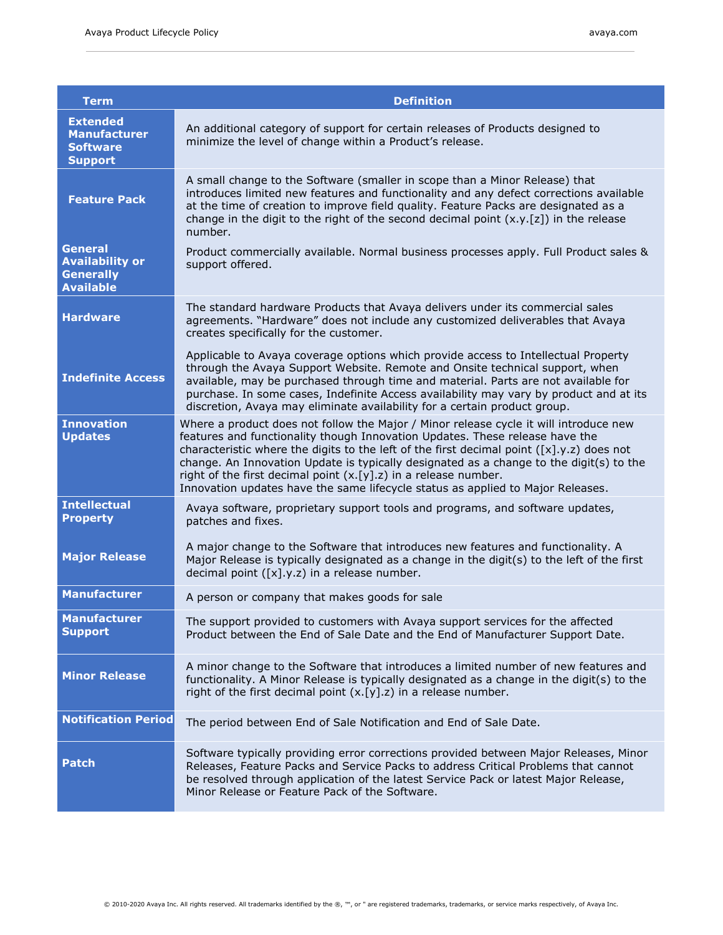| Term                                                                             | <b>Definition</b>                                                                                                                                                                                                                                                                                                                                                                                                                                                                                                         |
|----------------------------------------------------------------------------------|---------------------------------------------------------------------------------------------------------------------------------------------------------------------------------------------------------------------------------------------------------------------------------------------------------------------------------------------------------------------------------------------------------------------------------------------------------------------------------------------------------------------------|
| <b>Extended</b><br><b>Manufacturer</b><br><b>Software</b><br><b>Support</b>      | An additional category of support for certain releases of Products designed to<br>minimize the level of change within a Product's release.                                                                                                                                                                                                                                                                                                                                                                                |
| <b>Feature Pack</b>                                                              | A small change to the Software (smaller in scope than a Minor Release) that<br>introduces limited new features and functionality and any defect corrections available<br>at the time of creation to improve field quality. Feature Packs are designated as a<br>change in the digit to the right of the second decimal point $(x,y,[z])$ in the release<br>number.                                                                                                                                                        |
| <b>General</b><br><b>Availability or</b><br><b>Generally</b><br><b>Available</b> | Product commercially available. Normal business processes apply. Full Product sales &<br>support offered.                                                                                                                                                                                                                                                                                                                                                                                                                 |
| <b>Hardware</b>                                                                  | The standard hardware Products that Avaya delivers under its commercial sales<br>agreements. "Hardware" does not include any customized deliverables that Avaya<br>creates specifically for the customer.                                                                                                                                                                                                                                                                                                                 |
| <b>Indefinite Access</b>                                                         | Applicable to Avaya coverage options which provide access to Intellectual Property<br>through the Avaya Support Website. Remote and Onsite technical support, when<br>available, may be purchased through time and material. Parts are not available for<br>purchase. In some cases, Indefinite Access availability may vary by product and at its<br>discretion, Avaya may eliminate availability for a certain product group.                                                                                           |
| <b>Innovation</b><br><b>Updates</b>                                              | Where a product does not follow the Major / Minor release cycle it will introduce new<br>features and functionality though Innovation Updates. These release have the<br>characteristic where the digits to the left of the first decimal point $([x], y, z)$ does not<br>change. An Innovation Update is typically designated as a change to the digit(s) to the<br>right of the first decimal point $(x.[y].z)$ in a release number.<br>Innovation updates have the same lifecycle status as applied to Major Releases. |
| <b>Intellectual</b><br><b>Property</b>                                           | Avaya software, proprietary support tools and programs, and software updates,<br>patches and fixes.                                                                                                                                                                                                                                                                                                                                                                                                                       |
| <b>Major Release</b>                                                             | A major change to the Software that introduces new features and functionality. A<br>Major Release is typically designated as a change in the digit(s) to the left of the first<br>decimal point $([x], y, z)$ in a release number.                                                                                                                                                                                                                                                                                        |
| <b>Manufacturer</b>                                                              | A person or company that makes goods for sale                                                                                                                                                                                                                                                                                                                                                                                                                                                                             |
| <b>Manufacturer</b><br><b>Support</b>                                            | The support provided to customers with Avaya support services for the affected<br>Product between the End of Sale Date and the End of Manufacturer Support Date.                                                                                                                                                                                                                                                                                                                                                          |
| <b>Minor Release</b>                                                             | A minor change to the Software that introduces a limited number of new features and<br>functionality. A Minor Release is typically designated as a change in the digit(s) to the<br>right of the first decimal point $(x.[y].z)$ in a release number.                                                                                                                                                                                                                                                                     |
| <b>Notification Period</b>                                                       | The period between End of Sale Notification and End of Sale Date.                                                                                                                                                                                                                                                                                                                                                                                                                                                         |
| <b>Patch</b>                                                                     | Software typically providing error corrections provided between Major Releases, Minor<br>Releases, Feature Packs and Service Packs to address Critical Problems that cannot<br>be resolved through application of the latest Service Pack or latest Major Release,<br>Minor Release or Feature Pack of the Software.                                                                                                                                                                                                      |